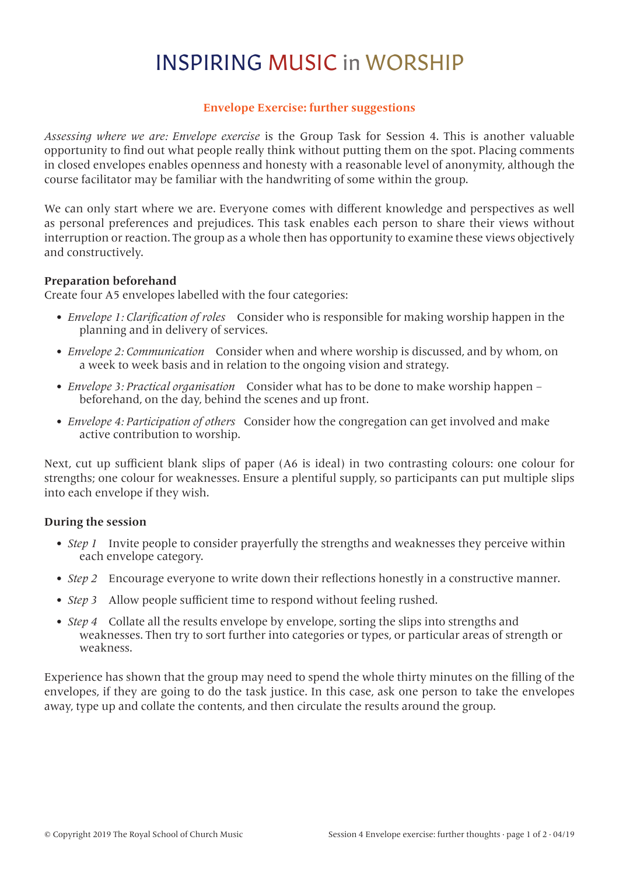## INSPIRING MUSIC in WORSHIP

## **Envelope Exercise: further suggestions**

*Assessing where we are: Envelope exercise* is the Group Task for Session 4. This is another valuable opportunity to find out what people really think without putting them on the spot. Placing comments in closed envelopes enables openness and honesty with a reasonable level of anonymity, although the course facilitator may be familiar with the handwriting of some within the group.

We can only start where we are. Everyone comes with different knowledge and perspectives as well as personal preferences and prejudices. This task enables each person to share their views without interruption or reaction. The group as a whole then has opportunity to examine these views objectively and constructively.

### **Preparation beforehand**

Create four A5 envelopes labelled with the four categories:

- *• Envelope 1: Clarification of roles* Consider who is responsible for making worship happen in the planning and in delivery of services.
- *• Envelope 2: Communication* Consider when and where worship is discussed, and by whom, on a week to week basis and in relation to the ongoing vision and strategy.
- *• Envelope 3: Practical organisation* Consider what has to be done to make worship happen beforehand, on the day, behind the scenes and up front.
- *• Envelope 4: Participation of others* Consider how the congregation can get involved and make active contribution to worship.

Next, cut up sufficient blank slips of paper (A6 is ideal) in two contrasting colours: one colour for strengths; one colour for weaknesses. Ensure a plentiful supply, so participants can put multiple slips into each envelope if they wish.

### **During the session**

- *Step 1* Invite people to consider prayerfully the strengths and weaknesses they perceive within each envelope category.
- *Step 2* Encourage everyone to write down their reflections honestly in a constructive manner.
- *Step 3* Allow people sufficient time to respond without feeling rushed.
- *Step 4* Collate all the results envelope by envelope, sorting the slips into strengths and weaknesses. Then try to sort further into categories or types, or particular areas of strength or weakness.

Experience has shown that the group may need to spend the whole thirty minutes on the filling of the envelopes, if they are going to do the task justice. In this case, ask one person to take the envelopes away, type up and collate the contents, and then circulate the results around the group.